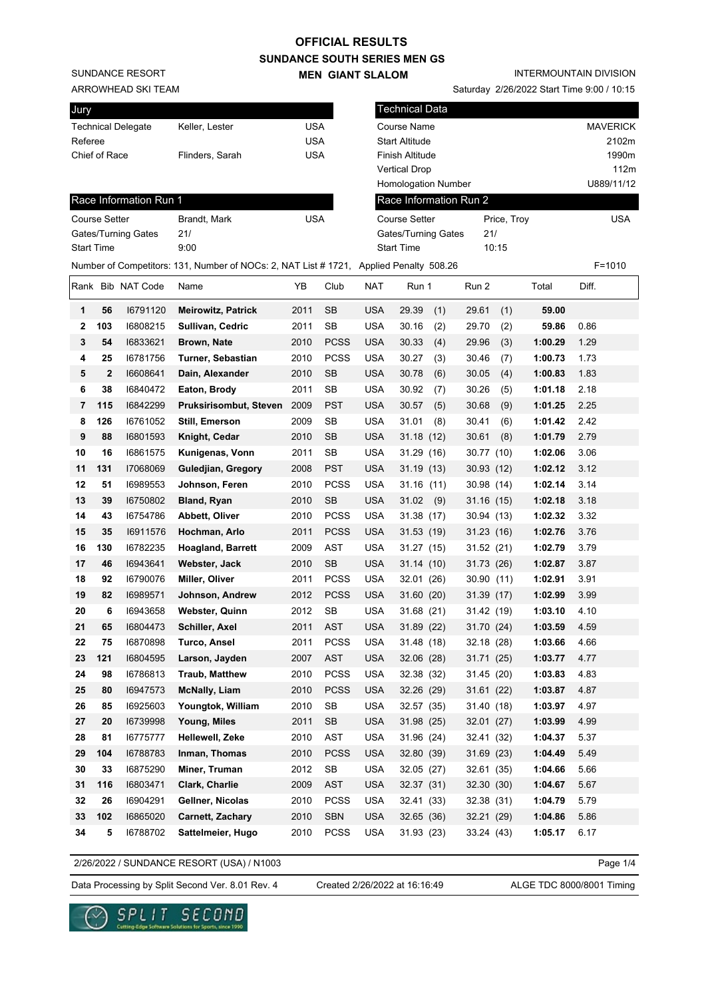SUNDANCE RESORT

ARROWHEAD SKI TEAM

| Keller, Lester  | USA |
|-----------------|-----|
|                 | USA |
| Flinders, Sarah | USA |
|                 |     |

Saturday 2/26/2022 Start Time 9:00 / 10:15

| Jury         |                      |                        |                                                                                        |            |             |            | <b>Technical Data</b>      |              |         |                 |
|--------------|----------------------|------------------------|----------------------------------------------------------------------------------------|------------|-------------|------------|----------------------------|--------------|---------|-----------------|
|              |                      | Technical Delegate     | Keller, Lester                                                                         | <b>USA</b> |             |            | Course Name                |              |         | <b>MAVERICK</b> |
| Referee      |                      |                        |                                                                                        | <b>USA</b> |             |            | <b>Start Altitude</b>      |              |         | 2102m           |
|              | Chief of Race        |                        | Flinders, Sarah                                                                        | <b>USA</b> |             |            | Finish Altitude            |              |         | 1990m           |
|              |                      |                        |                                                                                        |            |             |            | <b>Vertical Drop</b>       |              |         | 112m            |
|              |                      |                        |                                                                                        |            |             |            | <b>Homologation Number</b> |              |         | U889/11/12      |
|              |                      | Race Information Run 1 |                                                                                        |            |             |            | Race Information Run 2     |              |         |                 |
|              | <b>Course Setter</b> |                        | Brandt, Mark                                                                           | <b>USA</b> |             |            | <b>Course Setter</b>       | Price, Troy  |         | <b>USA</b>      |
|              |                      | Gates/Turning Gates    | 21/                                                                                    |            |             |            | Gates/Turning Gates        | 21/          |         |                 |
|              | <b>Start Time</b>    |                        | 9:00                                                                                   |            |             |            | <b>Start Time</b>          | 10:15        |         |                 |
|              |                      |                        | Number of Competitors: 131, Number of NOCs: 2, NAT List # 1721, Applied Penalty 508.26 |            |             |            |                            |              |         | $F = 1010$      |
|              |                      | Rank Bib NAT Code      | Name                                                                                   | YΒ         | Club        | <b>NAT</b> | Run 1                      | Run 2        | Total   | Diff.           |
| 1            | 56                   | 16791120               | <b>Meirowitz, Patrick</b>                                                              | 2011       | SB          | <b>USA</b> | 29.39<br>(1)               | 29.61<br>(1) | 59.00   |                 |
| $\mathbf{2}$ | 103                  | 16808215               | Sullivan, Cedric                                                                       | 2011       | SB          | <b>USA</b> | 30.16<br>(2)               | 29.70<br>(2) | 59.86   | 0.86            |
| 3            | 54                   | 16833621               | <b>Brown, Nate</b>                                                                     | 2010       | <b>PCSS</b> | <b>USA</b> | 30.33<br>(4)               | (3)<br>29.96 | 1:00.29 | 1.29            |
| 4            | 25                   | 16781756               | Turner, Sebastian                                                                      | 2010       | <b>PCSS</b> | <b>USA</b> | 30.27<br>(3)               | 30.46<br>(7) | 1:00.73 | 1.73            |
| 5            | $\mathbf{2}$         | 16608641               | Dain, Alexander                                                                        | 2010       | <b>SB</b>   | <b>USA</b> | 30.78<br>(6)               | 30.05<br>(4) | 1:00.83 | 1.83            |
| 6            | 38                   | 16840472               | Eaton, Brody                                                                           | 2011       | SB          | <b>USA</b> | 30.92<br>(7)               | 30.26<br>(5) | 1:01.18 | 2.18            |
| 7            | 115                  | 16842299               | Pruksirisombut, Steven                                                                 | 2009       | <b>PST</b>  | <b>USA</b> | 30.57<br>(5)               | (9)<br>30.68 | 1:01.25 | 2.25            |
| 8            | 126                  | 16761052               | Still, Emerson                                                                         | 2009       | SB          | <b>USA</b> | 31.01<br>(8)               | 30.41<br>(6) | 1:01.42 | 2.42            |
| 9            | 88                   | 16801593               | Knight, Cedar                                                                          | 2010       | <b>SB</b>   | <b>USA</b> | 31.18(12)                  | 30.61<br>(8) | 1:01.79 | 2.79            |
| 10           | 16                   | 16861575               | Kunigenas, Vonn                                                                        | 2011       | <b>SB</b>   | <b>USA</b> | 31.29(16)                  | 30.77 (10)   | 1:02.06 | 3.06            |
| 11           | 131                  | 17068069               | Guledjian, Gregory                                                                     | 2008       | <b>PST</b>  | <b>USA</b> | 31.19 (13)                 | 30.93 (12)   | 1:02.12 | 3.12            |
| 12           | 51                   | 16989553               | Johnson, Feren                                                                         | 2010       | <b>PCSS</b> | <b>USA</b> | 31.16(11)                  | 30.98 (14)   | 1:02.14 | 3.14            |
| 13           | 39                   | 16750802               | <b>Bland, Ryan</b>                                                                     | 2010       | <b>SB</b>   | <b>USA</b> | 31.02<br>(9)               | 31.16(15)    | 1:02.18 | 3.18            |
| 14           | 43                   | 16754786               | Abbett, Oliver                                                                         | 2010       | <b>PCSS</b> | <b>USA</b> | 31.38 (17)                 | 30.94 (13)   | 1:02.32 | 3.32            |
| 15           | 35                   | 16911576               | Hochman, Arlo                                                                          | 2011       | <b>PCSS</b> | <b>USA</b> | 31.53 (19)                 | 31.23(16)    | 1:02.76 | 3.76            |
| 16           | 130                  | 16782235               | <b>Hoagland, Barrett</b>                                                               | 2009       | AST         | <b>USA</b> | 31.27(15)                  | 31.52(21)    | 1:02.79 | 3.79            |
| 17           | 46                   | 16943641               | Webster, Jack                                                                          | 2010       | <b>SB</b>   | <b>USA</b> | 31.14(10)                  | 31.73 (26)   | 1:02.87 | 3.87            |
| 18           | 92                   | 16790076               | Miller, Oliver                                                                         | 2011       | <b>PCSS</b> | <b>USA</b> | 32.01 (26)                 | 30.90 (11)   | 1:02.91 | 3.91            |
| 19           | 82                   | 16989571               | Johnson, Andrew                                                                        | 2012       | <b>PCSS</b> | <b>USA</b> | 31.60(20)                  | 31.39 (17)   | 1:02.99 | 3.99            |
| 20           | 6                    | 16943658               | <b>Webster, Quinn</b>                                                                  | 2012       | <b>SB</b>   | <b>USA</b> | 31.68(21)                  | 31.42 (19)   | 1:03.10 | 4.10            |
| 21           | 65                   | 16804473               | Schiller, Axel                                                                         | 2011       | <b>AST</b>  | USA        | 31.89 (22)                 | 31.70 (24)   | 1:03.59 | 4.59            |
| 22           | ${\bf 75}$           | 16870898               | <b>Turco, Ansel</b>                                                                    | 2011       | PCSS        | <b>USA</b> | 31.48 (18)                 | 32.18 (28)   | 1:03.66 | 4.66            |
| 23           | 121                  | 16804595               | Larson, Jayden                                                                         | 2007       | AST         | <b>USA</b> | 32.06 (28)                 | 31.71 (25)   | 1:03.77 | 4.77            |
| 24           | 98                   | 16786813               | <b>Traub, Matthew</b>                                                                  | 2010       | PCSS        | <b>USA</b> | 32.38 (32)                 | 31.45 (20)   | 1:03.83 | 4.83            |
| 25           | 80                   | 16947573               | <b>McNally, Liam</b>                                                                   | 2010       | <b>PCSS</b> | <b>USA</b> | 32.26 (29)                 | 31.61(22)    | 1:03.87 | 4.87            |
| 26           | 85                   | 16925603               | Youngtok, William                                                                      | 2010       | SB          | <b>USA</b> | 32.57 (35)                 | 31.40 (18)   | 1:03.97 | 4.97            |
| 27           | 20                   | 16739998               | Young, Miles                                                                           | 2011       | <b>SB</b>   | <b>USA</b> | 31.98 (25)                 | 32.01(27)    | 1:03.99 | 4.99            |
| 28           | 81                   | 16775777               | Hellewell, Zeke                                                                        | 2010       | AST         | <b>USA</b> | 31.96(24)                  | 32.41 (32)   | 1:04.37 | 5.37            |
| 29           | 104                  | 16788783               | Inman, Thomas                                                                          | 2010       | <b>PCSS</b> | <b>USA</b> | 32.80 (39)                 | 31.69 (23)   | 1:04.49 | 5.49            |
| 30           | 33                   | 16875290               | Miner, Truman                                                                          | 2012       | SB          | <b>USA</b> | 32.05 (27)                 | 32.61 (35)   | 1:04.66 | 5.66            |
| 31           | 116                  | 16803471               | Clark, Charlie                                                                         | 2009       | AST         | <b>USA</b> | 32.37 (31)                 | 32.30 (30)   | 1:04.67 | 5.67            |
| 32           | 26                   | 16904291               | Gellner, Nicolas                                                                       | 2010       | <b>PCSS</b> | <b>USA</b> | 32.41 (33)                 | 32.38 (31)   | 1:04.79 | 5.79            |
| 33           | 102                  | 16865020               | Carnett, Zachary                                                                       | 2010       | SBN         | <b>USA</b> | 32.65 (36)                 | 32.21 (29)   | 1:04.86 | 5.86            |
| 34           | 5                    | 16788702               | Sattelmeier, Hugo                                                                      | 2010       | PCSS        | <b>USA</b> | 31.93 (23)                 | 33.24 (43)   | 1:05.17 | 6.17            |
|              |                      |                        |                                                                                        |            |             |            |                            |              |         |                 |

2/26/2022 / SUNDANCE RESORT (USA) / N1003

Page 1/4

Data Processing by Split Second Ver. 8.01 Rev. 4 Created 2/26/2022 at 16:16:49 ALGE TDC 8000/8001 Timing

Created 2/26/2022 at 16:16:49

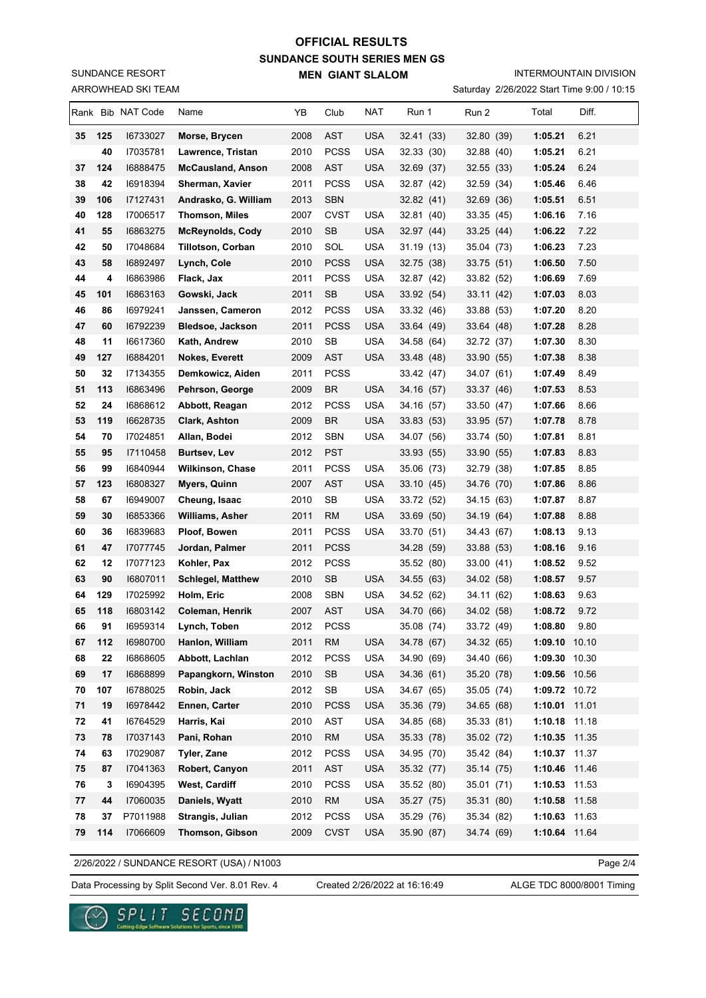ARROWHEAD SKI TEAM SUNDANCE RESORT

#### INTERMOUNTAIN DIVISION

Saturday 2/26/2022 Start Time 9:00 / 10:15

|          |           | Rank Bib NAT Code    | Name                               | YΒ           | Club                     | NAT                      | Run 1                    | Run 2                    | Total                          | Diff. |
|----------|-----------|----------------------|------------------------------------|--------------|--------------------------|--------------------------|--------------------------|--------------------------|--------------------------------|-------|
| 35       | 125       | 16733027             | Morse, Brycen                      | 2008         | <b>AST</b>               | <b>USA</b>               | 32.41 (33)               | 32.80 (39)               | 1:05.21                        | 6.21  |
|          | 40        | 17035781             | Lawrence, Tristan                  | 2010         | <b>PCSS</b>              | <b>USA</b>               | 32.33 (30)               | 32.88 (40)               | 1:05.21                        | 6.21  |
| 37       | 124       | 16888475             | <b>McCausland, Anson</b>           | 2008         | <b>AST</b>               | USA                      | 32.69 (37)               | 32.55 (33)               | 1:05.24                        | 6.24  |
| 38       | 42        | 16918394             | Sherman, Xavier                    | 2011         | <b>PCSS</b>              | <b>USA</b>               | 32.87 (42)               | 32.59 (34)               | 1:05.46                        | 6.46  |
| 39       | 106       | 17127431             | Andrasko, G. William               | 2013         | <b>SBN</b>               |                          | 32.82 (41)               | 32.69 (36)               | 1:05.51                        | 6.51  |
| 40       | 128       | 17006517             | <b>Thomson, Miles</b>              | 2007         | <b>CVST</b>              | <b>USA</b>               | 32.81 (40)               | 33.35 (45)               | 1:06.16                        | 7.16  |
| 41       | 55        | 16863275             | <b>McReynolds, Cody</b>            | 2010         | SB                       | <b>USA</b>               | 32.97 (44)               | 33.25(44)                | 1:06.22                        | 7.22  |
| 42       | 50        | 17048684             | <b>Tillotson, Corban</b>           | 2010         | SOL                      | <b>USA</b>               | 31.19(13)                | 35.04 (73)               | 1:06.23                        | 7.23  |
| 43       | 58        | 16892497             | Lynch, Cole                        | 2010         | <b>PCSS</b>              | <b>USA</b>               | 32.75 (38)               | 33.75 (51)               | 1:06.50                        | 7.50  |
| 44       | 4         | 16863986             | Flack, Jax                         | 2011         | <b>PCSS</b>              | <b>USA</b>               | 32.87 (42)               | 33.82 (52)               | 1:06.69                        | 7.69  |
| 45       | 101       | 16863163             | Gowski, Jack                       | 2011         | <b>SB</b>                | <b>USA</b>               | 33.92 (54)               | 33.11 (42)               | 1:07.03                        | 8.03  |
| 46       | 86        | 16979241             | Janssen, Cameron                   | 2012         | <b>PCSS</b>              | <b>USA</b>               | 33.32 (46)               | 33.88 (53)               | 1:07.20                        | 8.20  |
| 47       | 60        | 16792239             | <b>Bledsoe, Jackson</b>            | 2011         | <b>PCSS</b>              | <b>USA</b>               | 33.64 (49)               | 33.64 (48)               | 1:07.28                        | 8.28  |
| 48       | 11        | 16617360             | Kath, Andrew                       | 2010         | SB                       | USA                      | 34.58 (64)               | 32.72 (37)               | 1:07.30                        | 8.30  |
| 49       | 127       | 16884201             | <b>Nokes, Everett</b>              | 2009         | AST                      | <b>USA</b>               | 33.48 (48)               | 33.90 (55)               | 1:07.38                        | 8.38  |
| 50       | 32        | I7134355             | Demkowicz, Aiden                   | 2011         | <b>PCSS</b>              |                          | 33.42 (47)               | 34.07 (61)               | 1:07.49                        | 8.49  |
| 51       | 113       | 16863496             | Pehrson, George                    | 2009         | <b>BR</b>                | <b>USA</b>               | 34.16 (57)               | 33.37 (46)               | 1:07.53                        | 8.53  |
| 52       | 24        | 16868612             | Abbott, Reagan                     | 2012         | <b>PCSS</b>              | <b>USA</b>               | 34.16 (57)               | 33.50 (47)               | 1:07.66                        | 8.66  |
| 53       | 119       | 16628735             | Clark, Ashton                      | 2009         | <b>BR</b>                | <b>USA</b>               | 33.83 (53)               | 33.95 (57)               | 1:07.78                        | 8.78  |
| 54       | 70        | 17024851             | Allan, Bodei                       | 2012         | <b>SBN</b>               | <b>USA</b>               | 34.07 (56)               | 33.74 (50)               | 1:07.81                        | 8.81  |
| 55       | 95        | 17110458             | <b>Burtsev, Lev</b>                | 2012         | <b>PST</b>               |                          | 33.93 (55)               | 33.90 (55)               | 1:07.83                        | 8.83  |
| 56       | 99        | 16840944             | <b>Wilkinson, Chase</b>            | 2011         | <b>PCSS</b>              | <b>USA</b>               | 35.06 (73)               | 32.79 (38)               | 1:07.85                        | 8.85  |
| 57       | 123       | 16808327             | Myers, Quinn                       | 2007         | <b>AST</b>               | <b>USA</b>               | 33.10 (45)               | 34.76 (70)               | 1:07.86                        | 8.86  |
| 58       | 67        | 16949007             | Cheung, Isaac                      | 2010         | SB                       | <b>USA</b>               | 33.72 (52)               | 34.15 (63)               | 1:07.87                        | 8.87  |
| 59       | 30        | 16853366             | <b>Williams, Asher</b>             | 2011         | <b>RM</b>                | <b>USA</b>               | 33.69 (50)               | 34.19 (64)               | 1:07.88                        | 8.88  |
| 60       | 36        | 16839683             | Ploof, Bowen                       | 2011         | <b>PCSS</b>              | <b>USA</b>               | 33.70 (51)               | 34.43 (67)               | 1:08.13                        | 9.13  |
| 61       | 47        | 17077745             | Jordan, Palmer                     | 2011         | <b>PCSS</b>              |                          | 34.28 (59)               | 33.88 (53)               | 1:08.16                        | 9.16  |
| 62       | 12        | 17077123             | Kohler, Pax                        | 2012         | <b>PCSS</b>              |                          | 35.52 (80)               | 33.00 (41)               | 1:08.52                        | 9.52  |
| 63       | 90        | 16807011             | <b>Schlegel, Matthew</b>           | 2010         | <b>SB</b>                | USA                      | 34.55 (63)               | 34.02 (58)               | 1:08.57                        | 9.57  |
| 64       | 129       | 17025992             | Holm, Eric                         | 2008         | <b>SBN</b>               | <b>USA</b>               | 34.52 (62)               | 34.11 (62)               | 1:08.63                        | 9.63  |
| 65       | 118       | 16803142             | <b>Coleman, Henrik</b>             | 2007         | <b>AST</b>               | <b>USA</b>               | 34.70 (66)               | 34.02 (58)               | 1:08.72                        | 9.72  |
| 66       | 91        | 16959314             | Lynch, Toben                       | 2012         | <b>PCSS</b>              |                          | 35.08 (74)               | 33.72 (49)               | 1:08.80                        | 9.80  |
| 67       | 112       | 16980700             | Hanlon, William                    | 2011         | RM                       | <b>USA</b>               | 34.78 (67)               | 34.32 (65)               | 1:09.10 10.10                  |       |
| 68       | 22        | 16868605             | Abbott, Lachlan                    | 2012         | <b>PCSS</b>              | <b>USA</b>               | 34.90 (69)               | 34.40 (66)               | 1:09.30 10.30                  |       |
| 69<br>70 | 17        | 16868899<br>16788025 | Papangkorn, Winston<br>Robin, Jack | 2010         | <b>SB</b>                | <b>USA</b><br><b>USA</b> | 34.36 (61)               | 35.20 (78)               | 1:09.56 10.56                  |       |
| 71       | 107<br>19 | 16978442             | Ennen, Carter                      | 2012<br>2010 | SB<br><b>PCSS</b>        | <b>USA</b>               | 34.67 (65)<br>35.36 (79) | 35.05 (74)<br>34.65 (68) | 1:09.72 10.72<br>1:10.01 11.01 |       |
| 72       | 41        | 16764529             | Harris, Kai                        | 2010         | AST                      | <b>USA</b>               | 34.85 (68)               | 35.33 (81)               | 1:10.18 11.18                  |       |
| 73       |           |                      | Pani, Rohan                        | 2010         | <b>RM</b>                | <b>USA</b>               | 35.33 (78)               | 35.02 (72)               | 1:10.35 11.35                  |       |
| 74       |           |                      |                                    |              |                          |                          |                          |                          |                                |       |
| 75       | 78        | 17037143             |                                    |              |                          |                          |                          |                          |                                |       |
|          | 63        | 17029087             | Tyler, Zane                        | 2012         | <b>PCSS</b>              | <b>USA</b>               | 34.95 (70)               | 35.42 (84)               | 1:10.37 11.37                  |       |
|          | 87        | 17041363             | Robert, Canyon                     | 2011         | AST                      | <b>USA</b>               | 35.32 (77)               | 35.14 (75)               | 1:10.46 11.46                  |       |
| 76       | 3         | 16904395             | West, Cardiff                      | 2010         | <b>PCSS</b>              | <b>USA</b>               | 35.52 (80)               | 35.01 (71)               | 1:10.53 11.53                  |       |
| 77<br>78 | 44<br>37  | 17060035<br>P7011988 | Daniels, Wyatt<br>Strangis, Julian | 2010<br>2012 | <b>RM</b><br><b>PCSS</b> | <b>USA</b><br><b>USA</b> | 35.27 (75)<br>35.29 (76) | 35.31 (80)<br>35.34 (82) | 1:10.58 11.58<br>1:10.63 11.63 |       |

2/26/2022 / SUNDANCE RESORT (USA) / N1003

Page 2/4

Data Processing by Split Second Ver. 8.01 Rev. 4 Created 2/26/2022 at 16:16:49 ALGE TDC 8000/8001 Timing

Created 2/26/2022 at 16:16:49

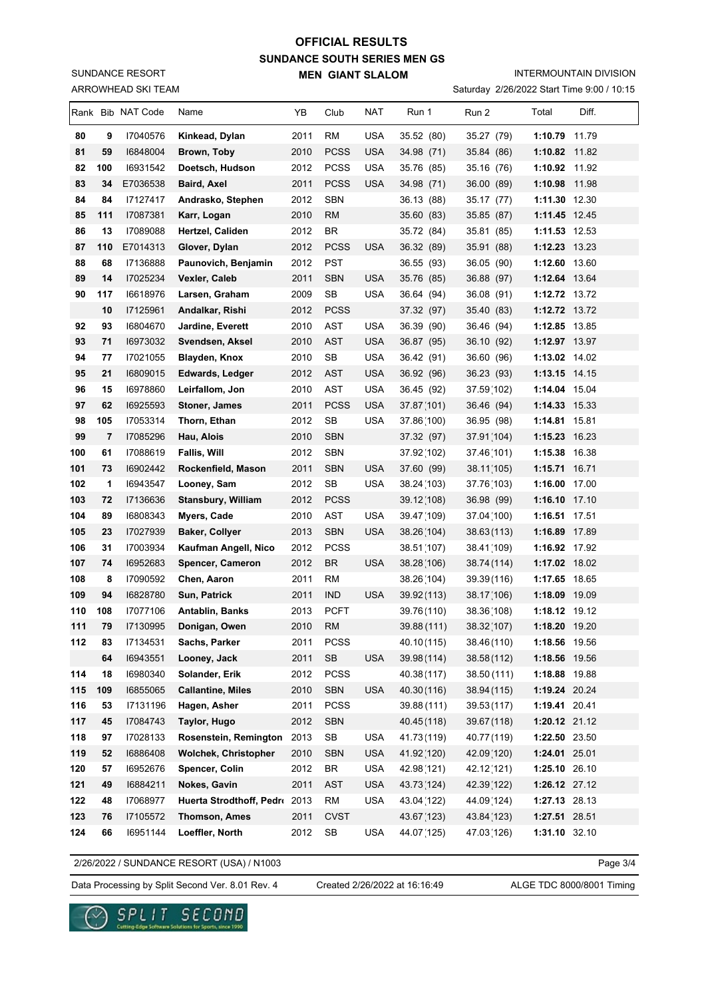ARROWHEAD SKI TEAM SUNDANCE RESORT

#### INTERMOUNTAIN DIVISION

Saturday 2/26/2022 Start Time 9:00 / 10:15

|            |          | Rank Bib NAT Code    | Name                           | YB           | Club              | NAT        | Run 1                     | Run 2                      | Total                          | Diff. |
|------------|----------|----------------------|--------------------------------|--------------|-------------------|------------|---------------------------|----------------------------|--------------------------------|-------|
| 80         | 9        | 17040576             | Kinkead, Dylan                 | 2011         | RM                | <b>USA</b> | 35.52 (80)                | 35.27 (79)                 | 1:10.79 11.79                  |       |
| 81         | 59       | 16848004             | Brown, Toby                    | 2010         | <b>PCSS</b>       | <b>USA</b> | 34.98 (71)                | 35.84 (86)                 | 1:10.82 11.82                  |       |
| 82         | 100      | 16931542             | Doetsch, Hudson                | 2012         | <b>PCSS</b>       | <b>USA</b> | 35.76 (85)                | 35.16 (76)                 | 1:10.92 11.92                  |       |
| 83         | 34       | E7036538             | Baird, Axel                    | 2011         | <b>PCSS</b>       | USA        | 34.98 (71)                | 36.00 (89)                 | 1:10.98 11.98                  |       |
| 84         | 84       | 17127417             | Andrasko, Stephen              | 2012         | <b>SBN</b>        |            | 36.13 (88)                | 35.17 (77)                 | 1:11.30 12.30                  |       |
| 85         | 111      | 17087381             | Karr, Logan                    | 2010         | <b>RM</b>         |            | 35.60 (83)                | 35.85 (87)                 | 1:11.45 12.45                  |       |
| 86         | 13       | 17089088             | Hertzel, Caliden               | 2012         | <b>BR</b>         |            | 35.72 (84)                | 35.81 (85)                 | 1:11.53 12.53                  |       |
| 87         | 110      | E7014313             | Glover, Dylan                  | 2012         | <b>PCSS</b>       | USA        | 36.32 (89)                | 35.91 (88)                 | 1:12.23 13.23                  |       |
| 88         | 68       | 17136888             | Paunovich, Benjamin            | 2012         | <b>PST</b>        |            | 36.55 (93)                | 36.05 (90)                 | 1:12.60 13.60                  |       |
| 89         | 14       | 17025234             | Vexler, Caleb                  | 2011         | <b>SBN</b>        | <b>USA</b> | 35.76 (85)                | 36.88 (97)                 | 1:12.64 13.64                  |       |
| 90         | 117      | 16618976             | Larsen, Graham                 | 2009         | SB                | <b>USA</b> | 36.64 (94)                | 36.08 (91)                 | 1:12.72 13.72                  |       |
|            | 10       | 17125961             | Andalkar, Rishi                | 2012         | <b>PCSS</b>       |            | 37.32 (97)                | 35.40 (83)                 | 1:12.72 13.72                  |       |
| 92         | 93       | 16804670             | Jardine, Everett               | 2010         | <b>AST</b>        | <b>USA</b> | 36.39 (90)                | 36.46 (94)                 | 1:12.85 13.85                  |       |
| 93         | 71       | 16973032             | Svendsen, Aksel                | 2010         | <b>AST</b>        | <b>USA</b> | 36.87 (95)                | 36.10 (92)                 | 1:12.97 13.97                  |       |
| 94         | 77       | 17021055             | <b>Blayden, Knox</b>           | 2010         | <b>SB</b>         | <b>USA</b> | 36.42 (91)                | 36.60 (96)                 | 1:13.02 14.02                  |       |
| 95         | 21       | 16809015             | <b>Edwards, Ledger</b>         | 2012         | <b>AST</b>        | <b>USA</b> | 36.92 (96)                | 36.23 (93)                 | 1:13.15 14.15                  |       |
| 96         | 15       | 16978860             | Leirfallom, Jon                | 2010         | AST               | <b>USA</b> | 36.45 (92)                | 37.59(102)                 | 1:14.04 15.04                  |       |
| 97         | 62       | 16925593             | <b>Stoner, James</b>           | 2011         | <b>PCSS</b>       | <b>USA</b> | 37.87(101)                | 36.46 (94)                 | 1:14.33 15.33                  |       |
| 98         | 105      | 17053314             | Thorn, Ethan                   | 2012         | SB                | <b>USA</b> | 37.86(100)                | 36.95 (98)                 | 1:14.81 15.81                  |       |
| 99         | 7        | 17085296             | Hau, Alois                     | 2010         | <b>SBN</b>        |            | 37.32 (97)                | 37.91(104)                 | 1:15.23 16.23                  |       |
| 100        | 61       | 17088619             | <b>Fallis, Will</b>            | 2012         | <b>SBN</b>        |            | 37.92(102)                | 37.46(101)                 | 1:15.38 16.38                  |       |
| 101        | 73       | 16902442             | Rockenfield, Mason             | 2011         | <b>SBN</b>        | USA        | 37.60 (99)                | 38.11(105)                 | 1:15.71 16.71                  |       |
| 102        | 1        | 16943547             | Looney, Sam                    | 2012         | SB                | <b>USA</b> | 38.24 (103)               | 37.76(103)                 | 1:16.00 17.00                  |       |
| 103        | 72       | 17136636             | <b>Stansbury, William</b>      | 2012         | <b>PCSS</b>       |            | 39.12(108)                | 36.98 (99)                 | $1:16.10$ 17.10                |       |
| 104        | 89       | 16808343             | Myers, Cade                    | 2010         | <b>AST</b>        | <b>USA</b> | 39.47 (109)               | 37.04 (100)                | 1:16.51 17.51                  |       |
| 105        | 23       | 17027939             | <b>Baker, Collyer</b>          | 2013         | <b>SBN</b>        | <b>USA</b> | 38.26(104)                | 38.63(113)                 | 1:16.89 17.89                  |       |
| 106        | 31       | 17003934             | Kaufman Angell, Nico           | 2012         | <b>PCSS</b>       |            | 38.51 (107)               | 38.41 (109)                | 1:16.92 17.92                  |       |
| 107        | 74       | 16952683             | Spencer, Cameron               | 2012         | <b>BR</b>         | <b>USA</b> | 38.28(106)                | 38.74 (114)                | 1:17.02 18.02                  |       |
| 108        | 8        | 17090592             | Chen, Aaron                    | 2011         | <b>RM</b>         |            | 38.26(104)                | 39.39 (116)                | 1:17.65 18.65                  |       |
| 109        | 94       | 16828780             | Sun, Patrick                   | 2011         | <b>IND</b>        | USA        | 39.92 (113)               | 38.17(106)                 | 1:18.09 19.09                  |       |
| 110        | 108      | 17077106             | <b>Antablin, Banks</b>         | 2013         | <b>PCFT</b>       |            | 39.76(110)                | 38.36(108)                 | 1:18.12 19.12                  |       |
| 111<br>112 | 79       | 17130995             | Donigan, Owen                  | 2010         | RM                |            | 39.88 (111)               | 38.32(107)                 | 1:18.20 19.20                  |       |
|            | 83       | 17134531             | Sachs, Parker                  | 2011         | <b>PCSS</b>       |            | 40.10(115)<br>39.98 (114) | 38.46(110)                 | 1:18.56 19.56                  |       |
|            | 64<br>18 | 16943551             | Looney, Jack<br>Solander, Erik | 2011<br>2012 | SB<br><b>PCSS</b> | <b>USA</b> |                           | 38.58(112)                 | 1:18.56 19.56                  |       |
| 114<br>115 | 109      | 16980340<br>16855065 | <b>Callantine, Miles</b>       | 2010         | <b>SBN</b>        | <b>USA</b> | 40.38(117)<br>40.30(116)  | 38.50 (111)<br>38.94 (115) | 1:18.88 19.88<br>1:19.24 20.24 |       |
| 116        | 53       | 17131196             | Hagen, Asher                   | 2011         | <b>PCSS</b>       |            | 39.88 (111)               | 39.53(117)                 | 1:19.41 20.41                  |       |
| 117        | 45       | 17084743             | Taylor, Hugo                   | 2012         | <b>SBN</b>        |            | 40.45(118)                | 39.67 (118)                | 1:20.12 21.12                  |       |
| 118        | 97       | 17028133             | Rosenstein, Remington          | 2013         | SB                | <b>USA</b> | 41.73(119)                | 40.77 (119)                | 1:22.50 23.50                  |       |
| 119        | 52       | 16886408             | <b>Wolchek, Christopher</b>    | 2010         | <b>SBN</b>        | <b>USA</b> | 41.92(120)                | 42.09(120)                 | 1:24.01 25.01                  |       |
| 120        | 57       | 16952676             | Spencer, Colin                 | 2012         | BR                | <b>USA</b> | 42.98(121)                | 42.12(121)                 | 1:25.10 26.10                  |       |
| 121        | 49       | 16884211             | Nokes, Gavin                   | 2011         | <b>AST</b>        | <b>USA</b> | 43.73(124)                | 42.39(122)                 | 1:26.12 27.12                  |       |
| 122        | 48       | 17068977             | Huerta Strodthoff, Pedr 2013   |              | <b>RM</b>         | <b>USA</b> | 43.04 (122)               | 44.09(124)                 | 1:27.13 28.13                  |       |
| 123        | 76       | 17105572             | <b>Thomson, Ames</b>           | 2011         | <b>CVST</b>       |            | 43.67(123)                | 43.84 (123)                | 1:27.51 28.51                  |       |
| 124        | 66       | 16951144             | Loeffler, North                | 2012         | SB                | <b>USA</b> | 44.07 (125)               | 47.03(126)                 | 1:31.10 32.10                  |       |
|            |          |                      |                                |              |                   |            |                           |                            |                                |       |

2/26/2022 / SUNDANCE RESORT (USA) / N1003

Page 3/4

Data Processing by Split Second Ver. 8.01 Rev. 4 Created 2/26/2022 at 16:16:49 ALGE TDC 8000/8001 Timing

Created 2/26/2022 at 16:16:49